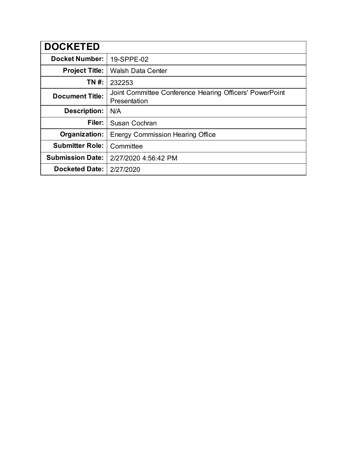| <b>DOCKETED</b>         |                                                                         |
|-------------------------|-------------------------------------------------------------------------|
| <b>Docket Number:</b>   | 19-SPPE-02                                                              |
| <b>Project Title:</b>   | <b>Walsh Data Center</b>                                                |
| TN #:                   | 232253                                                                  |
| <b>Document Title:</b>  | Joint Committee Conference Hearing Officers' PowerPoint<br>Presentation |
| <b>Description:</b>     | N/A                                                                     |
| Filer:                  | Susan Cochran                                                           |
| Organization:           | <b>Energy Commission Hearing Office</b>                                 |
| <b>Submitter Role:</b>  | Committee                                                               |
| <b>Submission Date:</b> | 2/27/2020 4:56:42 PM                                                    |
| <b>Docketed Date:</b>   | 2/27/2020                                                               |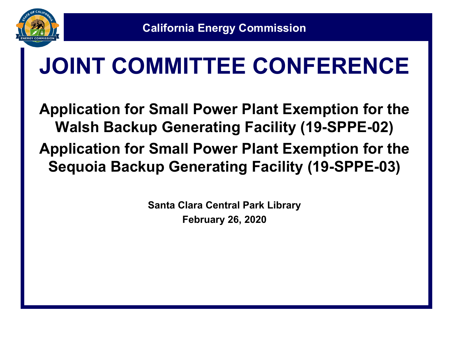

# **JOINT COMMITTEE CONFERENCE**

**Application for Small Power Plant Exemption for the Walsh Backup Generating Facility (19-SPPE-02) Application for Small Power Plant Exemption for the Sequoia Backup Generating Facility (19-SPPE-03)**

> **Santa Clara Central Park Library February 26, 2020**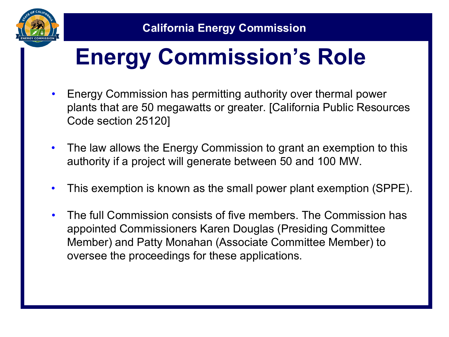

## **Energy Commission's Role**

- Energy Commission has permitting authority over thermal power plants that are 50 megawatts or greater. [California Public Resources Code section 25120]
- The law allows the Energy Commission to grant an exemption to this authority if a project will generate between 50 and 100 MW.
- This exemption is known as the small power plant exemption (SPPE).
- The full Commission consists of five members. The Commission has appointed Commissioners Karen Douglas (Presiding Committee Member) and Patty Monahan (Associate Committee Member) to oversee the proceedings for these applications.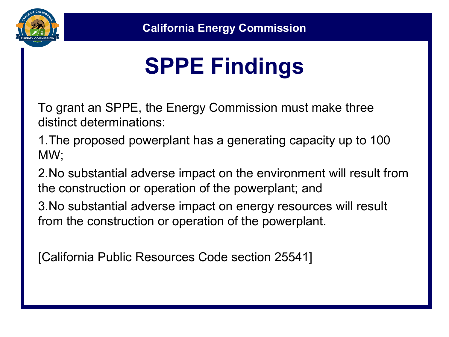

# **SPPE Findings**

To grant an SPPE, the Energy Commission must make three distinct determinations:

1.The proposed powerplant has a generating capacity up to 100 MW;

2.No substantial adverse impact on the environment will result from the construction or operation of the powerplant; and

3.No substantial adverse impact on energy resources will result from the construction or operation of the powerplant.

[California Public Resources Code section 25541]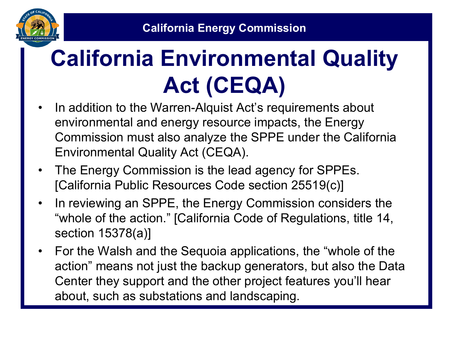

# **California Environmental Quality Act (CEQA)**

- In addition to the Warren-Alquist Act's requirements about environmental and energy resource impacts, the Energy Commission must also analyze the SPPE under the California Environmental Quality Act (CEQA).
- The Energy Commission is the lead agency for SPPEs. [California Public Resources Code section 25519(c)]
- In reviewing an SPPE, the Energy Commission considers the "whole of the action." [California Code of Regulations, title 14, section 15378(a)]
- For the Walsh and the Sequoia applications, the "whole of the action" means not just the backup generators, but also the Data Center they support and the other project features you'll hear about, such as substations and landscaping.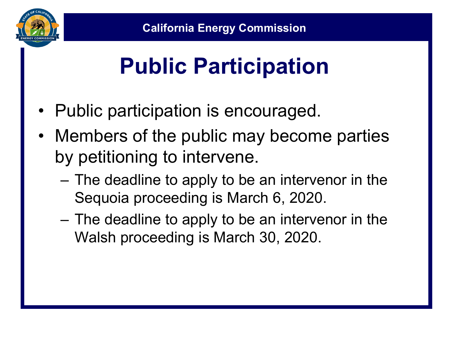

# **Public Participation**

- Public participation is encouraged.
- Members of the public may become parties by petitioning to intervene.
	- The deadline to apply to be an intervenor in the Sequoia proceeding is March 6, 2020.
	- The deadline to apply to be an intervenor in the Walsh proceeding is March 30, 2020.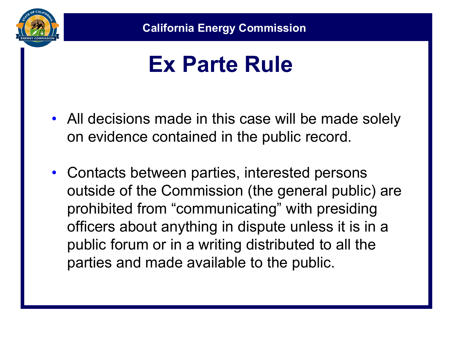

#### **Ex Parte Rule**

- All decisions made in this case will be made solely on evidence contained in the public record.
- Contacts between parties, interested persons outside of the Commission (the general public) are prohibited from "communicating" with presiding officers about anything in dispute unless it is in a public forum or in a writing distributed to all the parties and made available to the public.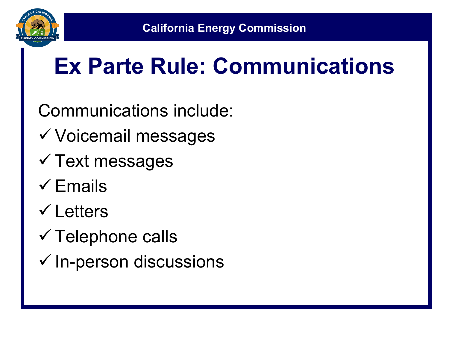

## **Ex Parte Rule: Communications**

Communications include:

- Voicemail messages
- $\checkmark$  Text messages
- $\checkmark$  Fmails
- Letters
- $\checkmark$  Telephone calls
- $\checkmark$  In-person discussions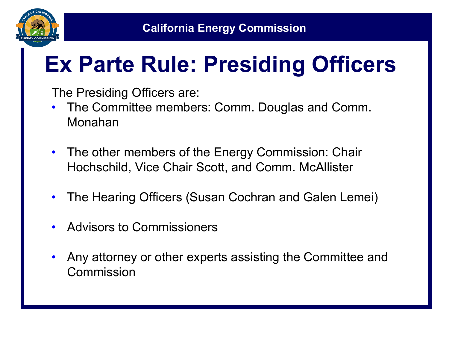

## **Ex Parte Rule: Presiding Officers**

The Presiding Officers are:

- The Committee members: Comm. Douglas and Comm. Monahan
- The other members of the Energy Commission: Chair Hochschild, Vice Chair Scott, and Comm. McAllister
- The Hearing Officers (Susan Cochran and Galen Lemei)
- Advisors to Commissioners
- Any attorney or other experts assisting the Committee and Commission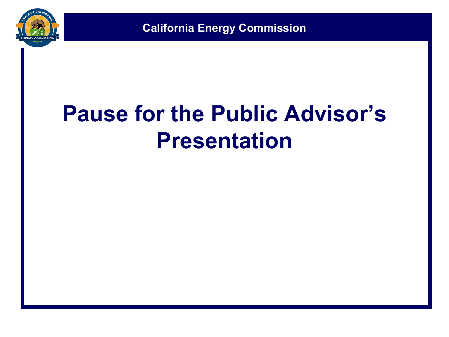

#### **Pause for the Public Advisor's Presentation**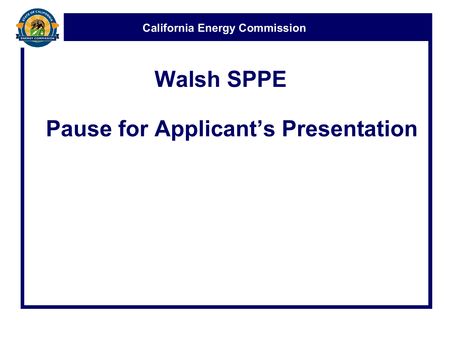

#### **Walsh SPPE**

#### **Pause for Applicant's Presentation**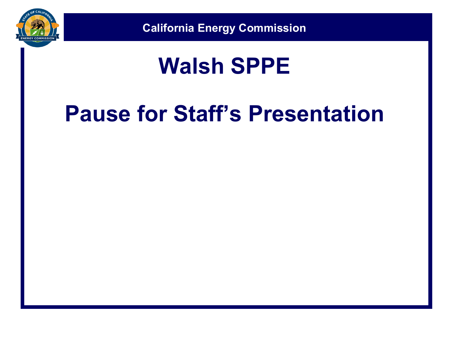

#### **Walsh SPPE**

## **Pause for Staff's Presentation**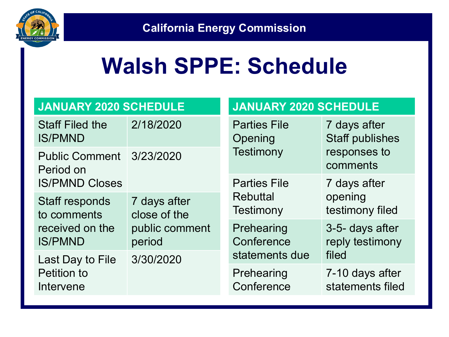

#### **Walsh SPPE: Schedule**

| <b>JANUARY 2020 SCHEDULE</b>                                     |                              | <b>JANUARY 2020 SCHEDULE</b>                       |                                                                    |
|------------------------------------------------------------------|------------------------------|----------------------------------------------------|--------------------------------------------------------------------|
| <b>Staff Filed the</b><br><b>IS/PMND</b>                         | 2/18/2020                    | <b>Parties File</b><br>Opening<br><b>Testimony</b> | 7 days after<br><b>Staff publishes</b><br>responses to<br>comments |
| Public Comment 3/23/2020<br>Period on                            |                              |                                                    |                                                                    |
| <b>IS/PMND Closes</b>                                            |                              | <b>Parties File</b>                                | 7 days after                                                       |
| Staff responds<br>to comments                                    | 7 days after<br>close of the | <b>Rebuttal</b><br>Testimony                       | opening<br>testimony filed                                         |
| received on the<br><b>IS/PMND</b>                                | public comment<br>period     | Prehearing<br>Conference                           | 3-5- days after<br>reply testimony                                 |
| 3/30/2020<br>Last Day to File<br><b>Petition to</b><br>Intervene |                              | statements due                                     | filed                                                              |
|                                                                  |                              | Prehearing<br>Conference                           | 7-10 days after<br>statements filed                                |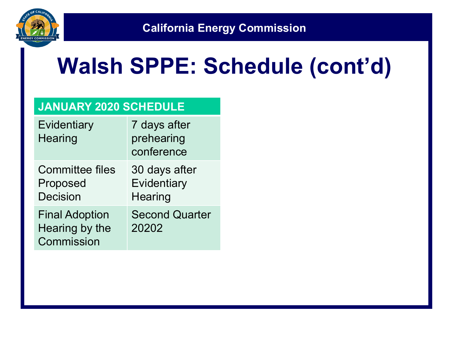

#### **Walsh SPPE: Schedule (cont'd)**

#### **JANUARY 2020 SCHEDULE**

| Evidentiary<br>Hearing                                | 7 days after<br>prehearing<br>conference       |
|-------------------------------------------------------|------------------------------------------------|
| <b>Committee files</b><br>Proposed<br><b>Decision</b> | 30 days after<br>Evidentiary<br><b>Hearing</b> |
| <b>Final Adoption</b><br>Hearing by the<br>Commission | <b>Second Quarter</b><br>20202                 |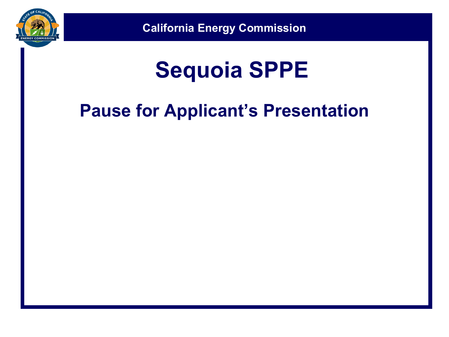

#### **Sequoia SPPE**

#### **Pause for Applicant's Presentation**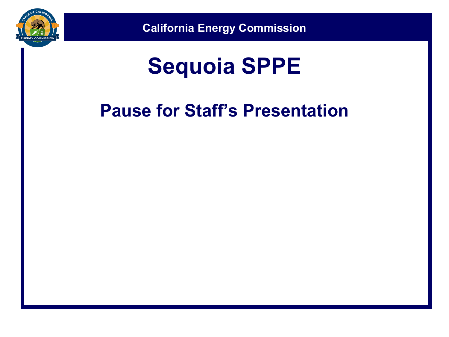

#### **Sequoia SPPE**

#### **Pause for Staff's Presentation**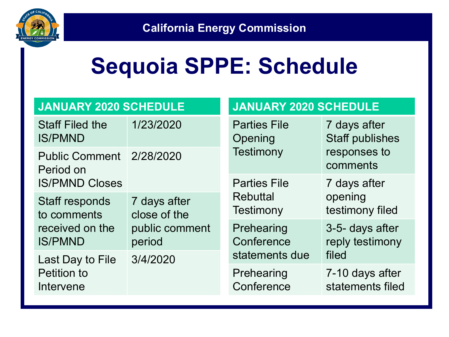

#### **Sequoia SPPE: Schedule**

| <b>JANUARY 2020 SCHEDULE</b>                                    |                              | <b>JANUARY 2020 SCHEDULE</b>                       |                                                                    |
|-----------------------------------------------------------------|------------------------------|----------------------------------------------------|--------------------------------------------------------------------|
| <b>Staff Filed the</b><br><b>IS/PMND</b>                        | 1/23/2020                    | <b>Parties File</b><br>Opening<br><b>Testimony</b> | 7 days after<br><b>Staff publishes</b><br>responses to<br>comments |
| Public Comment 2/28/2020<br>Period on                           |                              |                                                    |                                                                    |
| <b>IS/PMND Closes</b>                                           |                              | <b>Parties File</b>                                | 7 days after                                                       |
| <b>Staff responds</b><br>to comments                            | 7 days after<br>close of the | <b>Rebuttal</b><br>Testimony                       | opening<br>testimony filed                                         |
| received on the<br><b>IS/PMND</b>                               | public comment<br>period     | Prehearing<br>Conference                           | 3-5- days after<br>reply testimony                                 |
| 3/4/2020<br>Last Day to File<br><b>Petition to</b><br>Intervene |                              | statements due                                     | filed                                                              |
|                                                                 | Prehearing<br>Conference     | 7-10 days after<br>statements filed                |                                                                    |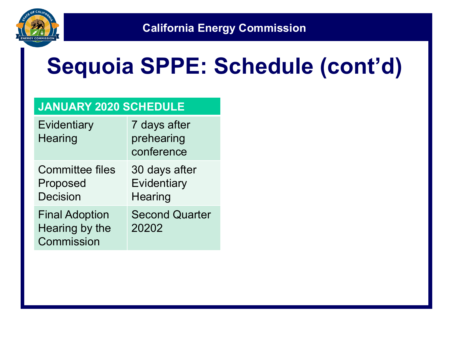

#### **Sequoia SPPE: Schedule (cont'd)**

#### **JANUARY 2020 SCHEDULE**

| Evidentiary<br>Hearing                                | 7 days after<br>prehearing<br>conference |
|-------------------------------------------------------|------------------------------------------|
| <b>Committee files</b><br>Proposed<br><b>Decision</b> | 30 days after<br>Evidentiary<br>Hearing  |
| <b>Final Adoption</b><br>Hearing by the<br>Commission | <b>Second Quarter</b><br>20202           |